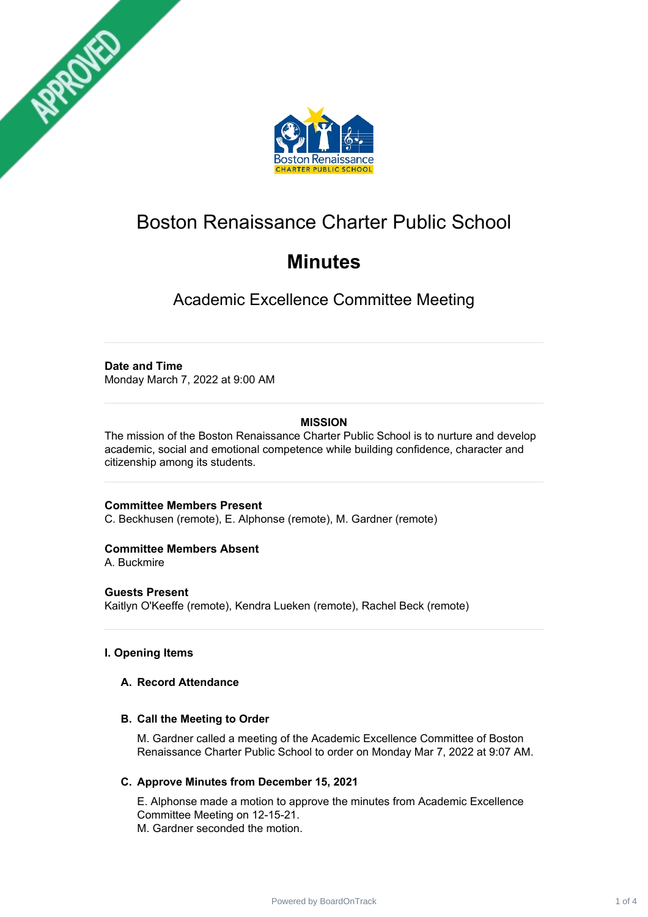



# Boston Renaissance Charter Public School

# **Minutes**

Academic Excellence Committee Meeting

# **Date and Time**

Monday March 7, 2022 at 9:00 AM

# **MISSION**

The mission of the Boston Renaissance Charter Public School is to nurture and develop academic, social and emotional competence while building confidence, character and citizenship among its students.

## **Committee Members Present**

C. Beckhusen (remote), E. Alphonse (remote), M. Gardner (remote)

## **Committee Members Absent**

A. Buckmire

## **Guests Present**

Kaitlyn O'Keeffe (remote), Kendra Lueken (remote), Rachel Beck (remote)

# **I. Opening Items**

## **A. Record Attendance**

## **B. Call the Meeting to Order**

M. Gardner called a meeting of the Academic Excellence Committee of Boston Renaissance Charter Public School to order on Monday Mar 7, 2022 at 9:07 AM.

# **C. Approve Minutes from December 15, 2021**

E. Alphonse made a motion to approve the minutes from Academic Excellence Committee Meeting on 12-15-21. M. Gardner seconded the motion.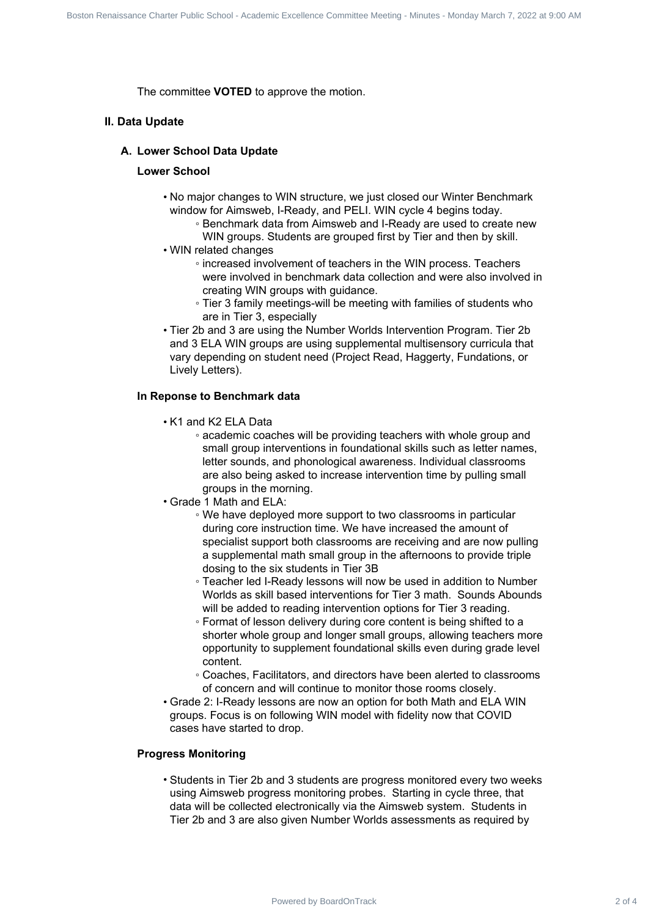The committee **VOTED** to approve the motion.

#### **II. Data Update**

#### **A. Lower School Data Update**

#### **Lower School**

- No major changes to WIN structure, we just closed our Winter Benchmark window for Aimsweb, I-Ready, and PELI. WIN cycle 4 begins today.
	- Benchmark data from Aimsweb and I-Ready are used to create new WIN groups. Students are grouped first by Tier and then by skill.
- WIN related changes
	- increased involvement of teachers in the WIN process. Teachers were involved in benchmark data collection and were also involved in creating WIN groups with guidance.
	- Tier 3 family meetings-will be meeting with families of students who are in Tier 3, especially
- Tier 2b and 3 are using the Number Worlds Intervention Program. Tier 2b and 3 ELA WIN groups are using supplemental multisensory curricula that vary depending on student need (Project Read, Haggerty, Fundations, or Lively Letters).

#### **In Reponse to Benchmark data**

- K1 and K2 ELA Data
- academic coaches will be providing teachers with whole group and small group interventions in foundational skills such as letter names, letter sounds, and phonological awareness. Individual classrooms are also being asked to increase intervention time by pulling small groups in the morning. Board Transformed Committee WOTED to approve the motion.<br>
The committee VOTED to approve the motion.<br>
A. Lower School Data Update<br>
Lower School Data Update<br>
Lower School Data Update<br>
Lower School Data Update<br>
Lower School
	- Grade 1 Math and ELA:
		- We have deployed more support to two classrooms in particular during core instruction time. We have increased the amount of specialist support both classrooms are receiving and are now pulling a supplemental math small group in the afternoons to provide triple dosing to the six students in Tier 3B
		- Teacher led I-Ready lessons will now be used in addition to Number Worlds as skill based interventions for Tier 3 math. Sounds Abounds will be added to reading intervention options for Tier 3 reading.
		- Format of lesson delivery during core content is being shifted to a shorter whole group and longer small groups, allowing teachers more opportunity to supplement foundational skills even during grade level content.
		- Coaches, Facilitators, and directors have been alerted to classrooms of concern and will continue to monitor those rooms closely.
	- Grade 2: I-Ready lessons are now an option for both Math and ELA WIN groups. Focus is on following WIN model with fidelity now that COVID cases have started to drop.

## **Progress Monitoring**

• Students in Tier 2b and 3 students are progress monitored every two weeks using Aimsweb progress monitoring probes. Starting in cycle three, that data will be collected electronically via the Aimsweb system. Students in Tier 2b and 3 are also given Number Worlds assessments as required by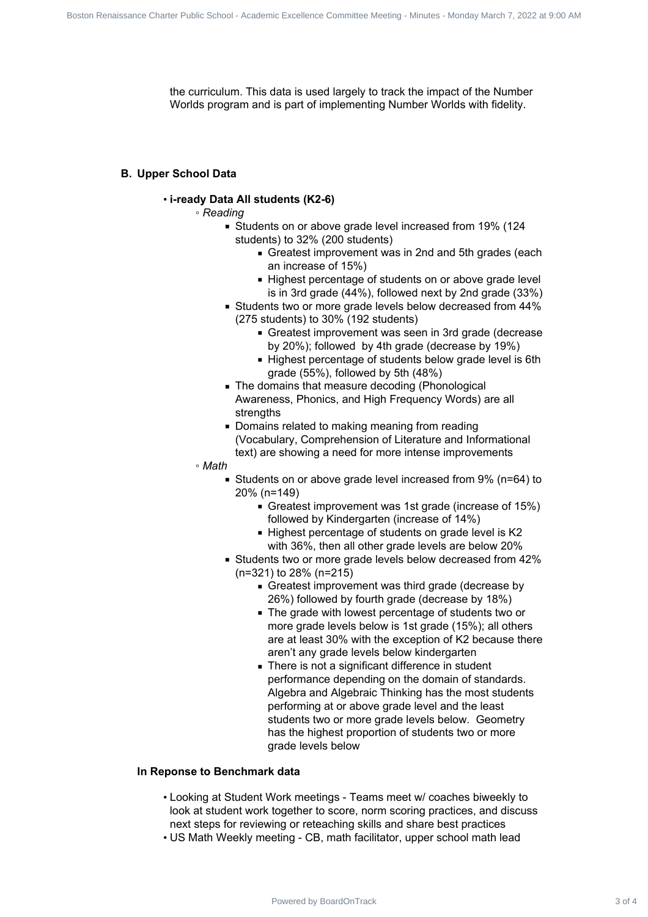the curriculum. This data is used largely to track the impact of the Number Worlds program and is part of implementing Number Worlds with fidelity.

#### **B. Upper School Data**

#### • **i-ready Data All students (K2-6)**

◦ *Reading*

- Students on or above grade level increased from 19% (124 students) to 32% (200 students)
	- Greatest improvement was in 2nd and 5th grades (each an increase of 15%)
	- Highest percentage of students on or above grade level is in 3rd grade (44%), followed next by 2nd grade (33%)
- Students two or more grade levels below decreased from 44% (275 students) to 30% (192 students)
	- Greatest improvement was seen in 3rd grade (decrease by 20%); followed by 4th grade (decrease by 19%)
	- Highest percentage of students below grade level is 6th grade (55%), followed by 5th (48%)
- The domains that measure decoding (Phonological Awareness, Phonics, and High Frequency Words) are all strengths
- Domains related to making meaning from reading (Vocabulary, Comprehension of Literature and Informational text) are showing a need for more intense improvements

#### ◦ *Math*

- Students on or above grade level increased from 9% (n=64) to 20% (n=149)
	- Greatest improvement was 1st grade (increase of 15%) followed by Kindergarten (increase of 14%)
	- Highest percentage of students on grade level is K2 with 36%, then all other grade levels are below 20%
- Students two or more grade levels below decreased from 42% (n=321) to 28% (n=215)
	- Greatest improvement was third grade (decrease by 26%) followed by fourth grade (decrease by 18%)
	- The grade with lowest percentage of students two or more grade levels below is 1st grade (15%); all others are at least 30% with the exception of K2 because there aren't any grade levels below kindergarten
- There is not a significant difference in student performance depending on the domain of standards. Algebra and Algebraic Thinking has the most students performing at or above grade level and the least students two or more grade levels below. Geometry has the highest proportion of students two or more grade levels below Board Commissance Charter School - The data is a straight of the straight of the State School Charter Charter Public School Charter Public School Charter Public School Charter Public School Charter Public School Charter P

#### **In Reponse to Benchmark data**

- Looking at Student Work meetings Teams meet w/ coaches biweekly to look at student work together to score, norm scoring practices, and discuss next steps for reviewing or reteaching skills and share best practices
- US Math Weekly meeting CB, math facilitator, upper school math lead